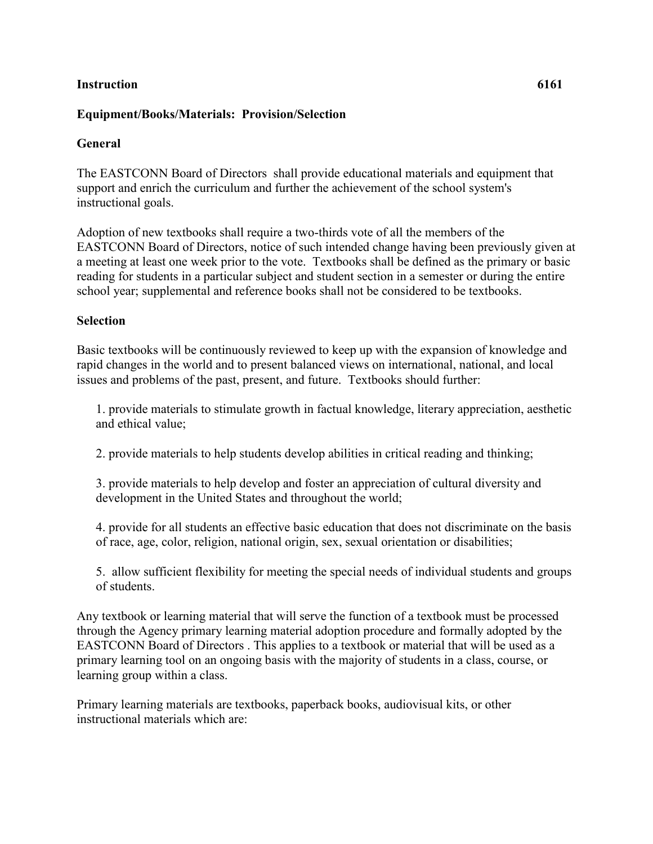## **Instruction 6161**

### **Equipment/Books/Materials: Provision/Selection**

### **General**

The EASTCONN Board of Directors shall provide educational materials and equipment that support and enrich the curriculum and further the achievement of the school system's instructional goals.

Adoption of new textbooks shall require a two-thirds vote of all the members of the EASTCONN Board of Directors, notice of such intended change having been previously given at a meeting at least one week prior to the vote. Textbooks shall be defined as the primary or basic reading for students in a particular subject and student section in a semester or during the entire school year; supplemental and reference books shall not be considered to be textbooks.

#### **Selection**

Basic textbooks will be continuously reviewed to keep up with the expansion of knowledge and rapid changes in the world and to present balanced views on international, national, and local issues and problems of the past, present, and future. Textbooks should further:

1. provide materials to stimulate growth in factual knowledge, literary appreciation, aesthetic and ethical value;

2. provide materials to help students develop abilities in critical reading and thinking;

3. provide materials to help develop and foster an appreciation of cultural diversity and development in the United States and throughout the world;

4. provide for all students an effective basic education that does not discriminate on the basis of race, age, color, religion, national origin, sex, sexual orientation or disabilities;

5. allow sufficient flexibility for meeting the special needs of individual students and groups of students.

Any textbook or learning material that will serve the function of a textbook must be processed through the Agency primary learning material adoption procedure and formally adopted by the EASTCONN Board of Directors . This applies to a textbook or material that will be used as a primary learning tool on an ongoing basis with the majority of students in a class, course, or learning group within a class.

Primary learning materials are textbooks, paperback books, audiovisual kits, or other instructional materials which are: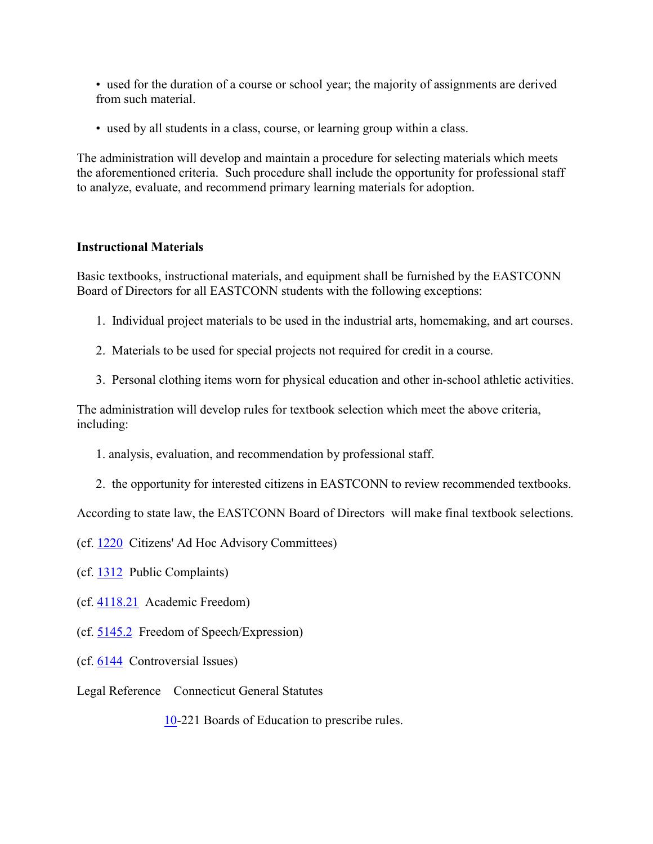• used for the duration of a course or school year; the majority of assignments are derived from such material.

• used by all students in a class, course, or learning group within a class.

The administration will develop and maintain a procedure for selecting materials which meets the aforementioned criteria. Such procedure shall include the opportunity for professional staff to analyze, evaluate, and recommend primary learning materials for adoption.

# **Instructional Materials**

Basic textbooks, instructional materials, and equipment shall be furnished by the EASTCONN Board of Directors for all EASTCONN students with the following exceptions:

- 1. Individual project materials to be used in the industrial arts, homemaking, and art courses.
- 2. Materials to be used for special projects not required for credit in a course.
- 3. Personal clothing items worn for physical education and other in-school athletic activities.

The administration will develop rules for textbook selection which meet the above criteria, including:

- 1. analysis, evaluation, and recommendation by professional staff.
- 2. the opportunity for interested citizens in EASTCONN to review recommended textbooks.

According to state law, the EASTCONN Board of Directors will make final textbook selections.

(cf. [1220](http://z2policy.cabe.org/cabe/DocViewer.jsp?docid=34&z2collection=core#JD_1220) Citizens' Ad Hoc Advisory Committees)

(cf. [1312](http://z2policy.cabe.org/cabe/DocViewer.jsp?docid=42&z2collection=core#JD_1312) Public Complaints)

 $(cf. 4118.21$  $(cf. 4118.21$  Academic Freedom)

- (cf. [5145.2](http://z2policy.cabe.org/cabe/DocViewer.jsp?docid=337&z2collection=core#JD_5145.2) Freedom of Speech/Expression)
- (cf. [6144](http://z2policy.cabe.org/cabe/DocViewer.jsp?docid=393&z2collection=core#JD_6144) Controversial Issues)
- Legal Reference Connecticut General Statutes

[10-](http://www.cga.ct.gov/2011/pub/Title10.htm)221 Boards of Education to prescribe rules.